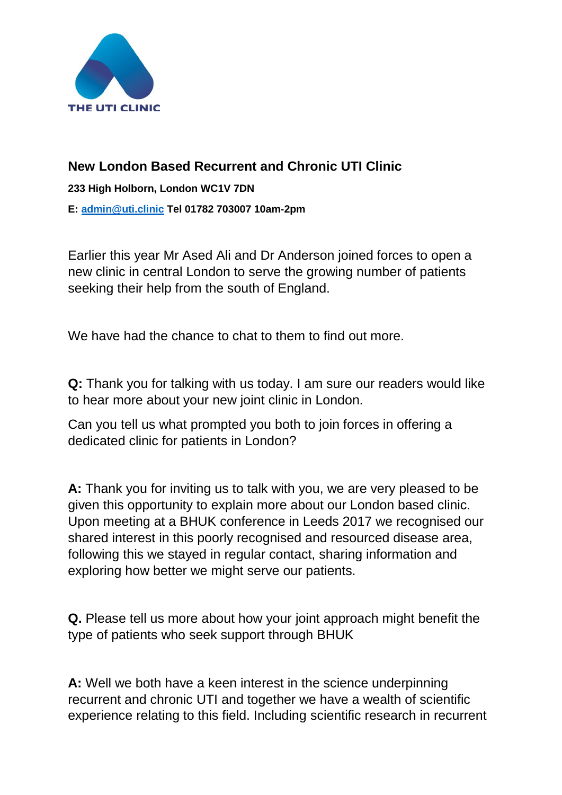

## **New London Based Recurrent and Chronic UTI Clinic 233 High Holborn, London WC1V 7DN E: [admin@uti.clinic](mailto:admin@uti.clinic) Tel 01782 703007 10am-2pm**

Earlier this year Mr Ased Ali and Dr Anderson joined forces to open a new clinic in central London to serve the growing number of patients seeking their help from the south of England.

We have had the chance to chat to them to find out more.

**Q:** Thank you for talking with us today. I am sure our readers would like to hear more about your new joint clinic in London.

Can you tell us what prompted you both to join forces in offering a dedicated clinic for patients in London?

**A:** Thank you for inviting us to talk with you, we are very pleased to be given this opportunity to explain more about our London based clinic. Upon meeting at a BHUK conference in Leeds 2017 we recognised our shared interest in this poorly recognised and resourced disease area, following this we stayed in regular contact, sharing information and exploring how better we might serve our patients.

**Q.** Please tell us more about how your joint approach might benefit the type of patients who seek support through BHUK

**A:** Well we both have a keen interest in the science underpinning recurrent and chronic UTI and together we have a wealth of scientific experience relating to this field. Including scientific research in recurrent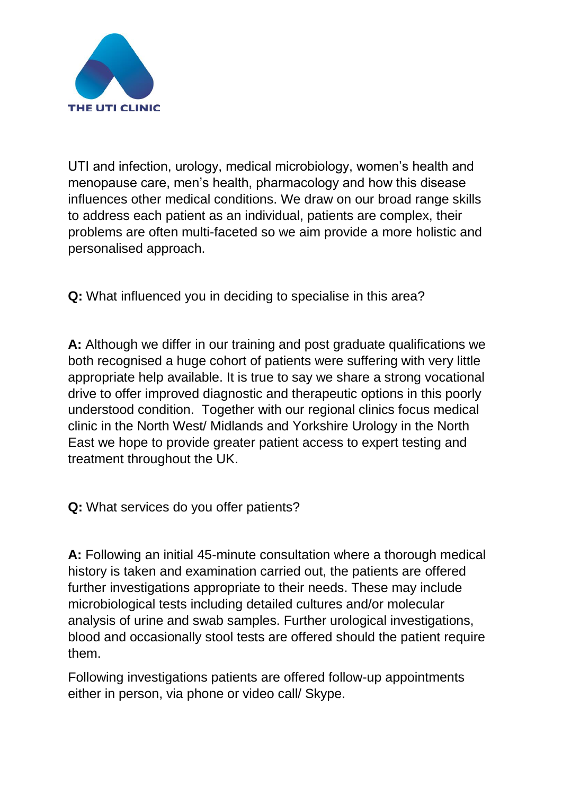

UTI and infection, urology, medical microbiology, women's health and menopause care, men's health, pharmacology and how this disease influences other medical conditions. We draw on our broad range skills to address each patient as an individual, patients are complex, their problems are often multi-faceted so we aim provide a more holistic and personalised approach.

**Q:** What influenced you in deciding to specialise in this area?

**A:** Although we differ in our training and post graduate qualifications we both recognised a huge cohort of patients were suffering with very little appropriate help available. It is true to say we share a strong vocational drive to offer improved diagnostic and therapeutic options in this poorly understood condition. Together with our regional clinics focus medical clinic in the North West/ Midlands and Yorkshire Urology in the North East we hope to provide greater patient access to expert testing and treatment throughout the UK.

**Q:** What services do you offer patients?

**A:** Following an initial 45-minute consultation where a thorough medical history is taken and examination carried out, the patients are offered further investigations appropriate to their needs. These may include microbiological tests including detailed cultures and/or molecular analysis of urine and swab samples. Further urological investigations, blood and occasionally stool tests are offered should the patient require them.

Following investigations patients are offered follow-up appointments either in person, via phone or video call/ Skype.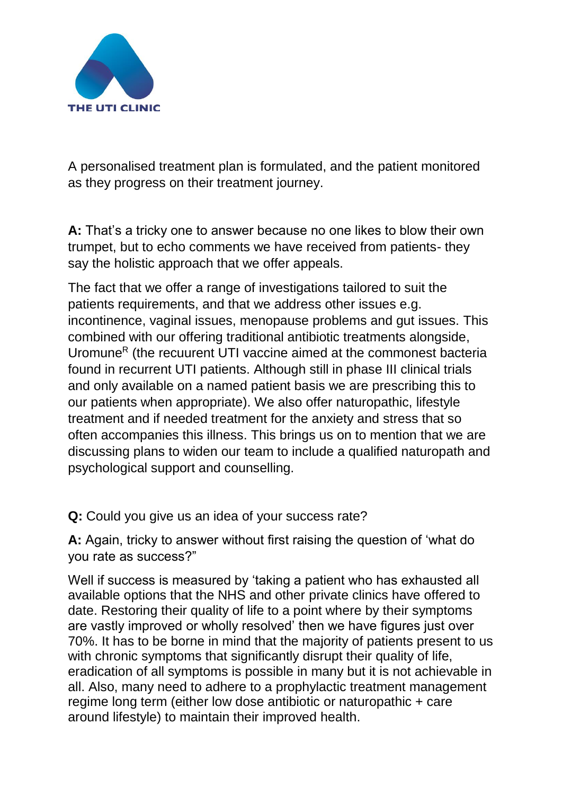

A personalised treatment plan is formulated, and the patient monitored as they progress on their treatment journey.

**A:** That's a tricky one to answer because no one likes to blow their own trumpet, but to echo comments we have received from patients- they say the holistic approach that we offer appeals.

The fact that we offer a range of investigations tailored to suit the patients requirements, and that we address other issues e.g. incontinence, vaginal issues, menopause problems and gut issues. This combined with our offering traditional antibiotic treatments alongside, Uromune<sup>R</sup> (the recuurent UTI vaccine aimed at the commonest bacteria found in recurrent UTI patients. Although still in phase III clinical trials and only available on a named patient basis we are prescribing this to our patients when appropriate). We also offer naturopathic, lifestyle treatment and if needed treatment for the anxiety and stress that so often accompanies this illness. This brings us on to mention that we are discussing plans to widen our team to include a qualified naturopath and psychological support and counselling.

**Q:** Could you give us an idea of your success rate?

**A:** Again, tricky to answer without first raising the question of 'what do you rate as success?"

Well if success is measured by 'taking a patient who has exhausted all available options that the NHS and other private clinics have offered to date. Restoring their quality of life to a point where by their symptoms are vastly improved or wholly resolved' then we have figures just over 70%. It has to be borne in mind that the majority of patients present to us with chronic symptoms that significantly disrupt their quality of life. eradication of all symptoms is possible in many but it is not achievable in all. Also, many need to adhere to a prophylactic treatment management regime long term (either low dose antibiotic or naturopathic + care around lifestyle) to maintain their improved health.